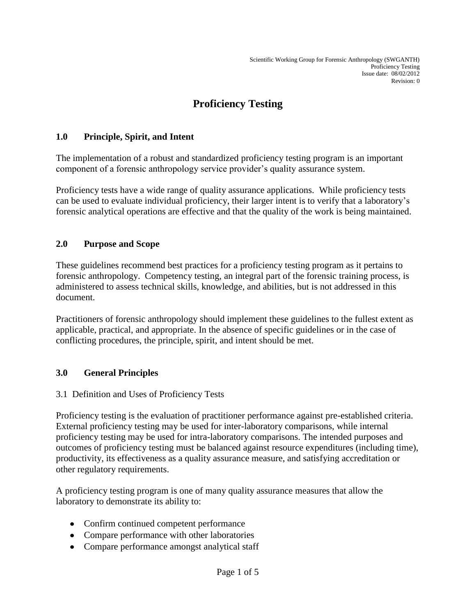# **Proficiency Testing**

# **1.0 Principle, Spirit, and Intent**

The implementation of a robust and standardized proficiency testing program is an important component of a forensic anthropology service provider's quality assurance system.

Proficiency tests have a wide range of quality assurance applications. While proficiency tests can be used to evaluate individual proficiency, their larger intent is to verify that a laboratory's forensic analytical operations are effective and that the quality of the work is being maintained.

## **2.0 Purpose and Scope**

These guidelines recommend best practices for a proficiency testing program as it pertains to forensic anthropology. Competency testing, an integral part of the forensic training process, is administered to assess technical skills, knowledge, and abilities, but is not addressed in this document.

Practitioners of forensic anthropology should implement these guidelines to the fullest extent as applicable, practical, and appropriate. In the absence of specific guidelines or in the case of conflicting procedures, the principle, spirit, and intent should be met.

#### **3.0 General Principles**

#### 3.1 Definition and Uses of Proficiency Tests

Proficiency testing is the evaluation of practitioner performance against pre-established criteria. External proficiency testing may be used for inter-laboratory comparisons, while internal proficiency testing may be used for intra-laboratory comparisons. The intended purposes and outcomes of proficiency testing must be balanced against resource expenditures (including time), productivity, its effectiveness as a quality assurance measure, and satisfying accreditation or other regulatory requirements.

A proficiency testing program is one of many quality assurance measures that allow the laboratory to demonstrate its ability to:

- Confirm continued competent performance
- Compare performance with other laboratories
- Compare performance amongst analytical staff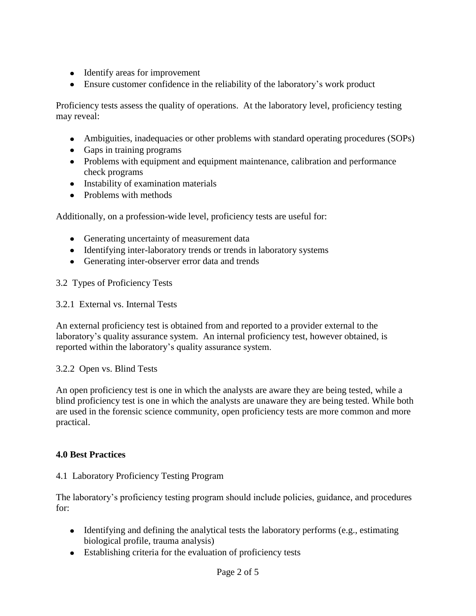- Identify areas for improvement
- Ensure customer confidence in the reliability of the laboratory's work product

Proficiency tests assess the quality of operations. At the laboratory level, proficiency testing may reveal:

- Ambiguities, inadequacies or other problems with standard operating procedures (SOPs)
- Gaps in training programs
- Problems with equipment and equipment maintenance, calibration and performance check programs
- Instability of examination materials
- Problems with methods

Additionally, on a profession-wide level, proficiency tests are useful for:

- Generating uncertainty of measurement data
- Identifying inter-laboratory trends or trends in laboratory systems
- Generating inter-observer error data and trends

3.2 Types of Proficiency Tests

3.2.1 External vs. Internal Tests

An external proficiency test is obtained from and reported to a provider external to the laboratory's quality assurance system. An internal proficiency test, however obtained, is reported within the laboratory's quality assurance system.

#### 3.2.2 Open vs. Blind Tests

An open proficiency test is one in which the analysts are aware they are being tested, while a blind proficiency test is one in which the analysts are unaware they are being tested. While both are used in the forensic science community, open proficiency tests are more common and more practical.

#### **4.0 Best Practices**

#### 4.1 Laboratory Proficiency Testing Program

The laboratory's proficiency testing program should include policies, guidance, and procedures for:

- $\bullet$  Identifying and defining the analytical tests the laboratory performs (e.g., estimating biological profile, trauma analysis)
- Establishing criteria for the evaluation of proficiency tests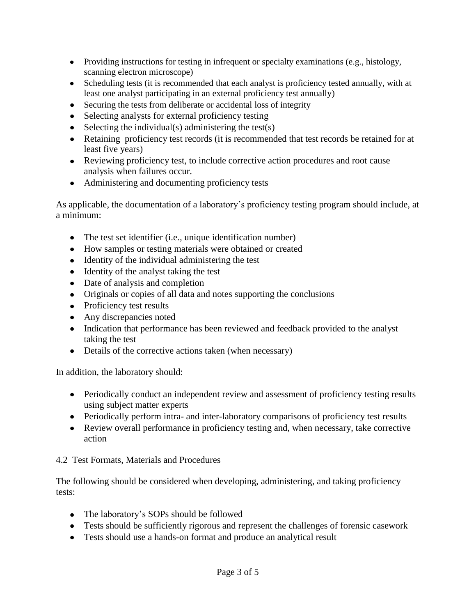- Providing instructions for testing in infrequent or specialty examinations (e.g., histology, scanning electron microscope)
- Scheduling tests (it is recommended that each analyst is proficiency tested annually, with at least one analyst participating in an external proficiency test annually)
- Securing the tests from deliberate or accidental loss of integrity
- Selecting analysts for external proficiency testing
- $\bullet$  Selecting the individual(s) administering the test(s)
- Retaining proficiency test records (it is recommended that test records be retained for at least five years)
- Reviewing proficiency test, to include corrective action procedures and root cause analysis when failures occur.
- Administering and documenting proficiency tests

As applicable, the documentation of a laboratory's proficiency testing program should include, at a minimum:

- The test set identifier (i.e.*,* unique identification number)
- How samples or testing materials were obtained or created
- Identity of the individual administering the test
- Identity of the analyst taking the test
- Date of analysis and completion
- Originals or copies of all data and notes supporting the conclusions
- Proficiency test results
- Any discrepancies noted
- Indication that performance has been reviewed and feedback provided to the analyst taking the test
- Details of the corrective actions taken (when necessary)

In addition, the laboratory should:

- Periodically conduct an independent review and assessment of proficiency testing results using subject matter experts
- Periodically perform intra- and inter-laboratory comparisons of proficiency test results
- Review overall performance in proficiency testing and, when necessary, take corrective action

4.2 Test Formats, Materials and Procedures

The following should be considered when developing, administering, and taking proficiency tests:

- The laboratory's SOPs should be followed
- Tests should be sufficiently rigorous and represent the challenges of forensic casework
- Tests should use a hands-on format and produce an analytical result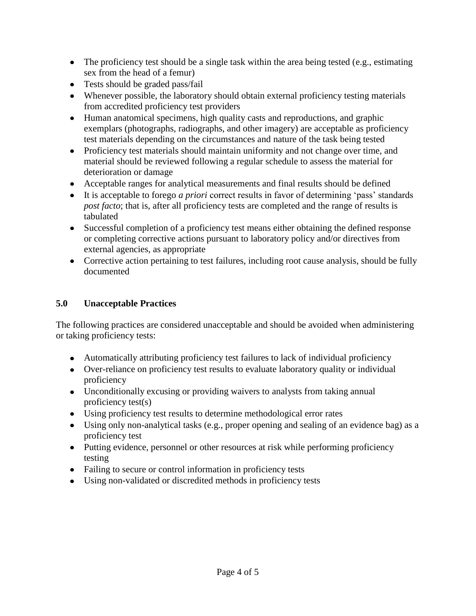- The proficiency test should be a single task within the area being tested (e.g., estimating sex from the head of a femur)
- Tests should be graded pass/fail
- Whenever possible, the laboratory should obtain external proficiency testing materials from accredited proficiency test providers
- Human anatomical specimens, high quality casts and reproductions, and graphic exemplars (photographs, radiographs, and other imagery) are acceptable as proficiency test materials depending on the circumstances and nature of the task being tested
- Proficiency test materials should maintain uniformity and not change over time, and material should be reviewed following a regular schedule to assess the material for deterioration or damage
- Acceptable ranges for analytical measurements and final results should be defined
- It is acceptable to forego *a priori* correct results in favor of determining 'pass' standards *post facto*; that is, after all proficiency tests are completed and the range of results is tabulated
- Successful completion of a proficiency test means either obtaining the defined response or completing corrective actions pursuant to laboratory policy and/or directives from external agencies, as appropriate
- Corrective action pertaining to test failures, including root cause analysis, should be fully documented

# **5.0 Unacceptable Practices**

The following practices are considered unacceptable and should be avoided when administering or taking proficiency tests:

- Automatically attributing proficiency test failures to lack of individual proficiency
- Over-reliance on proficiency test results to evaluate laboratory quality or individual proficiency
- Unconditionally excusing or providing waivers to analysts from taking annual proficiency test(s)
- Using proficiency test results to determine methodological error rates
- Using only non-analytical tasks (e.g., proper opening and sealing of an evidence bag) as a proficiency test
- Putting evidence, personnel or other resources at risk while performing proficiency testing
- Failing to secure or control information in proficiency tests
- Using non-validated or discredited methods in proficiency tests